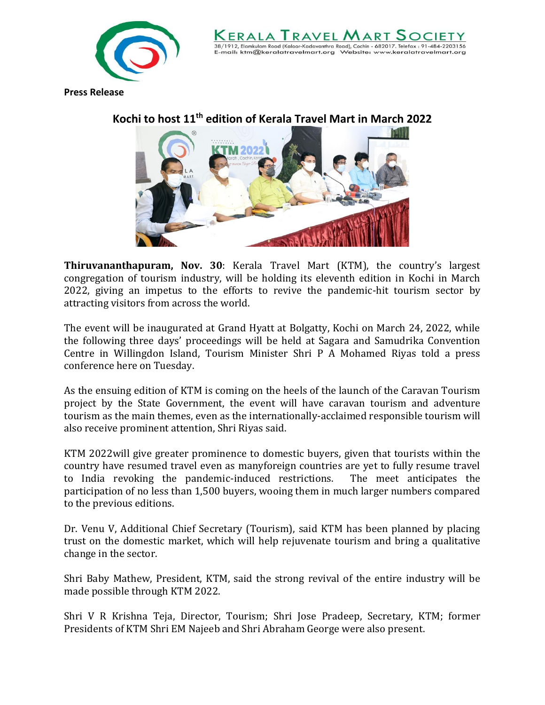

38/1912. Elamkulam Road (Kaloor-Kadavanthra Road). Cochin - 682017. Telefax ktm@keralatravelmart.ora

**Press Release**



## **Kochi to host 11th edition of Kerala Travel Mart in March 2022**

**Thiruvananthapuram, Nov. 30**: Kerala Travel Mart (KTM), the country's largest congregation of tourism industry, will be holding its eleventh edition in Kochi in March 2022, giving an impetus to the efforts to revive the pandemic-hit tourism sector by attracting visitors from across the world.

The event will be inaugurated at Grand Hyatt at Bolgatty, Kochi on March 24, 2022, while the following three days' proceedings will be held at Sagara and Samudrika Convention Centre in Willingdon Island, Tourism Minister Shri P A Mohamed Riyas told a press conference here on Tuesday.

As the ensuing edition of KTM is coming on the heels of the launch of the Caravan Tourism project by the State Government, the event will have caravan tourism and adventure tourism as the main themes, even as the internationally-acclaimed responsible tourism will also receive prominent attention, Shri Riyas said.

KTM 2022will give greater prominence to domestic buyers, given that tourists within the country have resumed travel even as manyforeign countries are yet to fully resume travel to India revoking the pandemic-induced restrictions. The meet anticipates the participation of no less than 1,500 buyers, wooing them in much larger numbers compared to the previous editions.

Dr. Venu V, Additional Chief Secretary (Tourism), said KTM has been planned by placing trust on the domestic market, which will help rejuvenate tourism and bring a qualitative change in the sector.

Shri Baby Mathew, President, KTM, said the strong revival of the entire industry will be made possible through KTM 2022.

Shri V R Krishna Teja, Director, Tourism; Shri Jose Pradeep, Secretary, KTM; former Presidents of KTM Shri EM Najeeb and Shri Abraham George were also present.